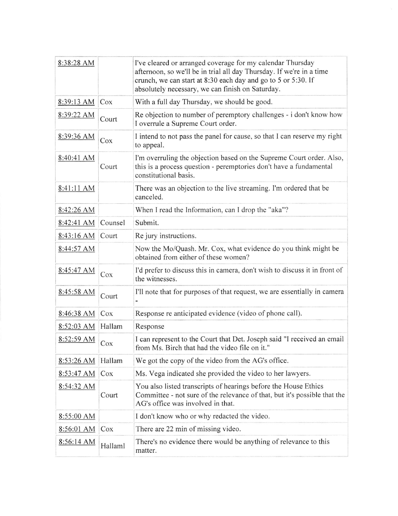| 8:38:28 AM        |         | I've cleared or arranged coverage for my calendar Thursday<br>afternoon, so we'll be in trial all day Thursday. If we're in a time<br>crunch, we can start at 8:30 each day and go to 5 or 5:30. If<br>absolutely necessary, we can finish on Saturday. |
|-------------------|---------|---------------------------------------------------------------------------------------------------------------------------------------------------------------------------------------------------------------------------------------------------------|
| 8:39:13 AM<br>Cox |         | With a full day Thursday, we should be good.                                                                                                                                                                                                            |
| 8:39:22 AM        | Court   | Re objection to number of peremptory challenges - i don't know how<br>I overrule a Supreme Court order.                                                                                                                                                 |
| 8:39:36 AM<br>Cox |         | I intend to not pass the panel for cause, so that I can reserve my right<br>to appeal.                                                                                                                                                                  |
| 8:40:41 AM        | Court   | I'm overruling the objection based on the Supreme Court order. Also,<br>this is a process question - peremptories don't have a fundamental<br>constitutional basis.                                                                                     |
| 8:41:11 AM        |         | There was an objection to the live streaming. I'm ordered that be<br>canceled.                                                                                                                                                                          |
| 8:42:26 AM        |         | When I read the Information, can I drop the "aka"?                                                                                                                                                                                                      |
| 8:42:41 AM        | Counsel | Submit.                                                                                                                                                                                                                                                 |
| 8:43:16 AM        | Court   | Re jury instructions.                                                                                                                                                                                                                                   |
| 8:44:57 AM        |         | Now the Mo/Quash. Mr. Cox, what evidence do you think might be<br>obtained from either of these women?                                                                                                                                                  |
| 8:45:47 AM        | Cox     | I'd prefer to discuss this in camera, don't wish to discuss it in front of<br>the witnesses.                                                                                                                                                            |
| 8:45:58 AM        | Court   | I'll note that for purposes of that request, we are essentially in camera                                                                                                                                                                               |
| 8:46:38 AM<br>Cox |         | Response re anticipated evidence (video of phone call).                                                                                                                                                                                                 |
| 8:52:03 AM        | Hallam  | Response                                                                                                                                                                                                                                                |
| 8:52:59 AM        | Cox     | I can represent to the Court that Det. Joseph said "I received an email<br>from Ms. Birch that had the video file on it."                                                                                                                               |
| 8:53:26 AM        | Hallam  | We got the copy of the video from the AG's office.                                                                                                                                                                                                      |
| 8:53:47 AM        | Cox     | Ms. Vega indicated she provided the video to her lawyers.                                                                                                                                                                                               |
| 8:54:32 AM        | Court   | You also listed transcripts of hearings before the House Ethics<br>Committee - not sure of the relevance of that, but it's possible that the<br>AG's office was involved in that.                                                                       |
| 8:55:00 AM        |         | I don't know who or why redacted the video.                                                                                                                                                                                                             |
| 8:56:01 AM        | Cox     | There are 22 min of missing video.                                                                                                                                                                                                                      |
| 8:56:14 AM        | Hallaml | There's no evidence there would be anything of relevance to this<br>matter.                                                                                                                                                                             |